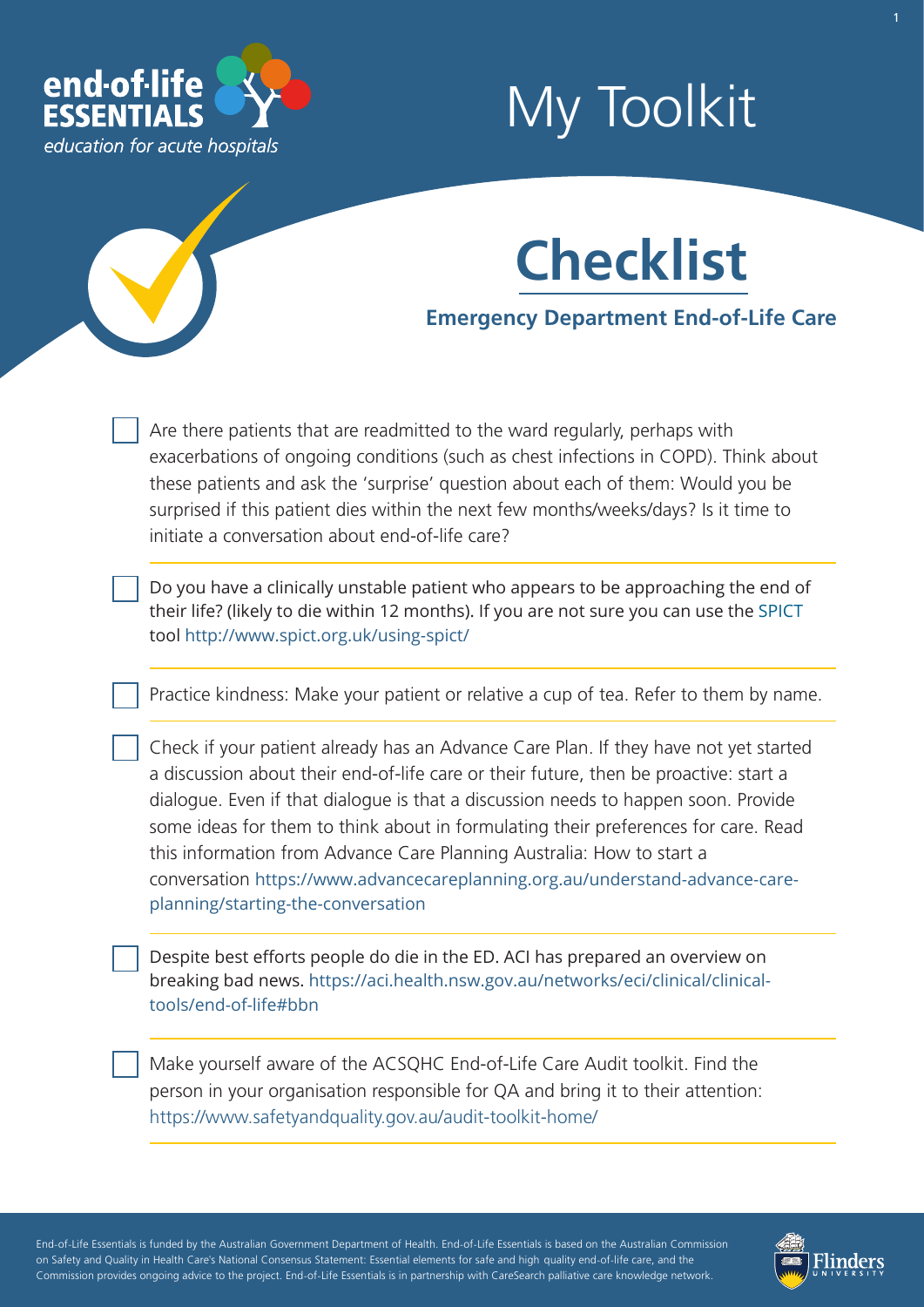

# My Toolkit



### **Emergency Department End-of-Life Care**

Are there patients that are readmitted to the ward regularly, perhaps with exacerbations of ongoing conditions (such as chest infections in COPD). Think about these patients and ask the 'surprise' question about each of them: Would you be surprised if this patient dies within the next few months/weeks/days? Is it time to initiate a conversation about end-of-life care?

Do you have a clinically unstable patient who appears to be approaching the end of their life? (likely to die within 12 months). If you are not sure you can use the [SPICT](https://www.endoflifeessentials.com.au/Portals/14/document/SPICT_April_2019_EOLE.pdf) tool [http://www.spict.org.uk/using-spict/](http://www.spict.org.uk/using-spict)

Practice kindness: Make your patient or relative a cup of tea. Refer to them by name.

Check if your patient already has an Advance Care Plan. If they have not yet started a discussion about their end-of-life care or their future, then be proactive: start a dialogue. Even if that dialogue is that a discussion needs to happen soon. Provide some ideas for them to think about in formulating their preferences for care. Read this information from Advance Care Planning Australia: How to start a conversation [https://www.advancecareplanning.org.au/understand-advance-care](https://www.advancecareplanning.org.au/understand-advance-care-planning/starting-the-conversation)planning/starting-the-conversation

Despite best efforts people do die in the ED. ACI has prepared an overview on [breaking bad news. https://aci.health.nsw.gov.au/networks/eci/clinical/clinical](https://aci.health.nsw.gov.au/networks/eci/clinical/clinical-tools/end-of-life#bbn)[tools/end-of-life#bbn](https://www.aci.health.nsw.gov.au/networks/eci/clinical/clinical-resources/clinical-tools/end-of-life/breaking-bad-news) 

Make yourself aware of the ACSQHC End-of-Life Care Audit toolkit. Find the person in your organisation responsible for QA and bring it to their attention: <https://www.safetyandquality.gov.au/audit-toolkit-home/>

- - - - End-of-Life Essentials is funded by the Australian Government Department of Health. End-of-Life Essentials is based on the Australian Commission ' - - - on Safety and Quality in Health Care's National Consensus Statement: Essential elements for safe and high quality end-of-life care, and the - - Commission provides ongoing advice to the project. End-of-Life Essentials is in partnership with CareSearch palliative care knowledge network.

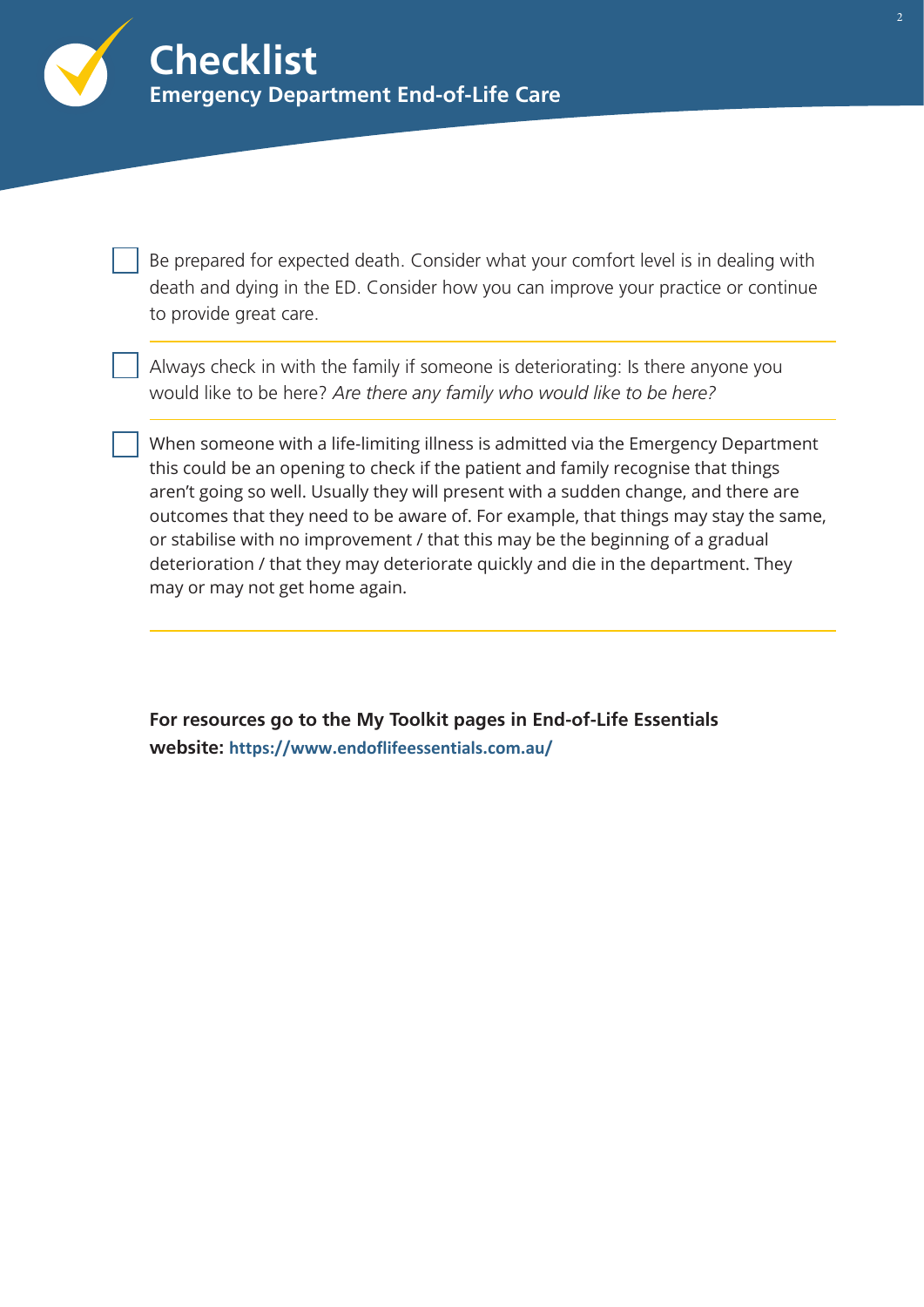

Be prepared for expected death. Consider what your comfort level is in dealing with death and dying in the ED. Consider how you can improve your practice or continue to provide great care.

Always check in with the family if someone is deteriorating: Is there anyone you would like to be here? *Are there any family who would like to be here?* 

When someone with a life-limiting illness is admitted via the Emergency Department this could be an opening to check if the patient and family recognise that things aren't going so well. Usually they will present with a sudden change, and there are outcomes that they need to be aware of. For example, that things may stay the same, or stabilise with no improvement / that this may be the beginning of a gradual deterioration / that they may deteriorate quickly and die in the department. They may or may not get home again.

**For resources go to the My Toolkit pages in End-of-Life Essentials website: <https://www.endoflifeessentials.com.au/>**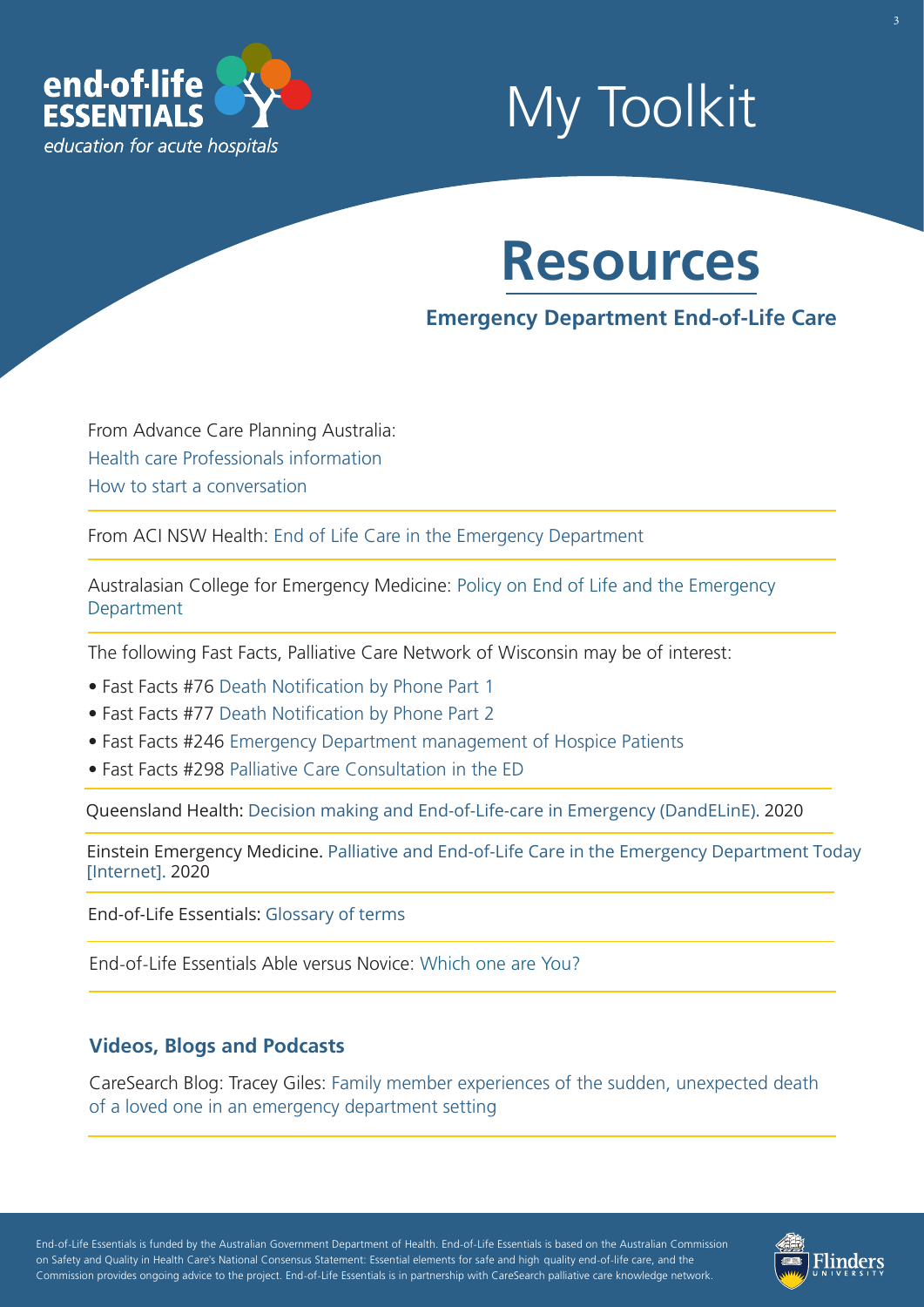

# My Toolkit

## **Resources**

## **Emergency Department End-of-Life Care**

From Advance Care Planning Australia: [Health care Professionals information](https://www.advancecareplanning.org.au/for-health-and-care-workers)  [How to start a conversation](http://advancecareplanning.org.au/for-family-friends-carers/how-do-i-start-the-conversation) 

From ACI NSW Health: [End of Life Care in the Emergency Department](https://www.aci.health.nsw.gov.au/networks/eci/clinical/clinical-resources/clinical-tools/end-of-life) 

[Australasian College for Emergency Medicine: Policy on End of Life and the Emergency](https://acem.org.au/getmedia/d55cb8ce-2d26-49d5-823a-f7f07b5c19cc/P455-PolicyonEoLandPalliativeCareinED-Jul16.aspx)  Department

The following Fast Facts, Palliative Care Network of Wisconsin may be of interest:

- Fast Facts #76 Death Notification by Phone Part 1
- Fast Facts #77 Death Notification by Phone Part 2
- Fast Facts #246 [Emergency Department management of Hospice Patients](https://www.mypcnow.org/blank-u7m1h)
- Fast Facts #298 [Palliative Care Consultation in the ED](https://www.mypcnow.org/blank-h3y60)

Queensland Health[: Decision making and End-of-Life-care in Emergency \(DandELinE\).](https://clinicalexcellence.qld.gov.au/improvement-exchange/terminal-phase-care-pathway-emergency-department) 2020

Einstein Emergency Medicine. [Palliative and End-of-Life Care in the Emergency Department Today](https://steinem.net/2020/05/19/palliative-and-end-of-life-care-in-the-emergency-department-today/) [Internet]. 2020

End-of-Life Essentials: [Glossary of terms](https://www.endoflifeessentials.com.au/tabid/5311/Default.aspx)

End-of-Life Essentials Able versus Novice: [Which one are You?](https://www.endoflifeessentials.com.au/Portals/14/Images/Education%20Module/ABLE-VS-NOVICE.jpg)

#### **Videos, Blogs and Podcasts**

[CareSearch Blog: Tracey Giles: Family member experiences of the sudden, unexpected death](https://www.caresearch.com.au/TabId/6568/ArtMID/17907/ArticleID/2309/Family-member-experiences-of-the-sudden-unexpected-death-of-a-loved-one-in-an-emergency-department-setting.aspx)  of a loved one in an emergency department setting

- - - - End-of-Life Essentials is funded by the Australian Government Department of Health. End-of-Life Essentials is based on the Australian Commission ' - - - on Safety and Quality in Health Care's National Consensus Statement: Essential elements for safe and high quality end-of-life care, and the - - Commission provides ongoing advice to the project. End-of-Life Essentials is in partnership with CareSearch palliative care knowledge network.

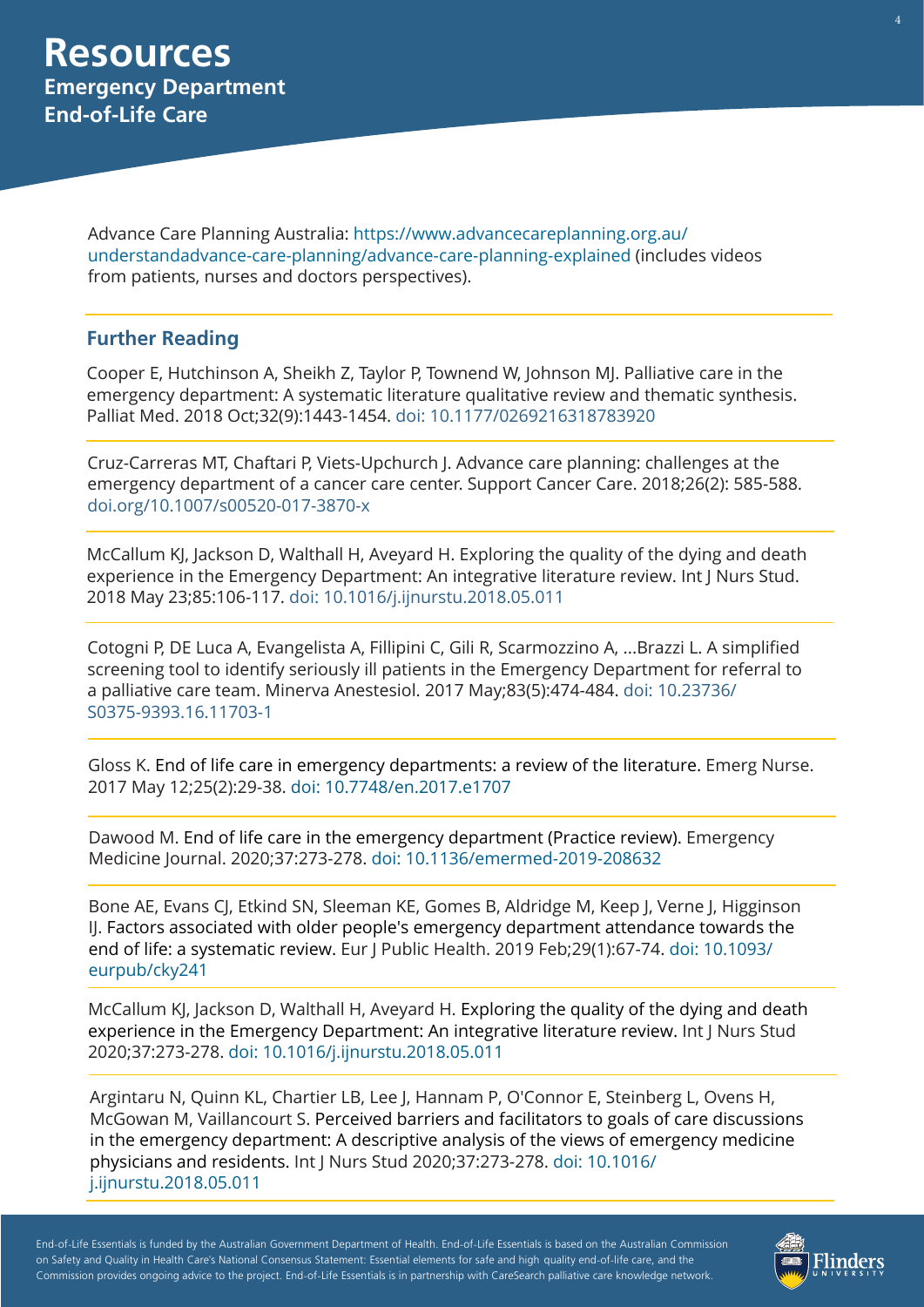[Advance Care Planning Australia: https://www.advancecareplanning.org.au/](https://www.advancecareplanning.org.au/understand-advance-care-planning/advance-care-planning-explained) understandadvance-care-planning/advance-care-planning-explained (includes videos from patients, nurses and doctors perspectives).

### **Further Reading**

Cooper E, Hutchinson A, Sheikh Z, Taylor P, Townend W, Johnson MJ. Palliative care in the emergency department: A systematic literature qualitative review and thematic synthesis. Palliat Med. 2018 Oct;32(9):1443-1454. [doi: 10.1177/0269216318783920](https://pubmed.ncbi.nlm.nih.gov/30028242/)

Cruz-Car[reras MT, Chaftari P, Viets-Upchurch J. Ad](https://www.ncbi.nlm.nih.gov/m/pubmed/30028242/)vance care planning: challenges at the emergency department of a cancer care center. Support Cancer Care. 2018;26(2): 585-588. [doi.org/10.1007/s00520-017-3870-x](https://pubmed.ncbi.nlm.nih.gov/28918550/)

McCallum KJ, Jackson D, W[althall H, Aveyard H. Exploring the qual](https://www.ncbi.nlm.nih.gov/pubmed/29885547)ity of the dying and death experience in the Emergency Department: An integrative literature review. Int J Nurs Stud. 2018 May 23;85:106-117. [doi: 10.1016/j.ijnurstu.2018.05.011](https://pubmed.ncbi.nlm.nih.gov/29885547/)

Cotogni P, DE Luca A, Evangelista A, Fillipini C, Gili R, Scarmozzino A, ...Brazzi L. A simplified screening tool to identify seriously ill patients in the Emergency Department for referral to [a palliative care team. Minerva Anestesiol. 2017 May;83\(5\):474-484. doi: 10.23736/](https://pubmed.ncbi.nlm.nih.gov/28094484/) S0375-9393.16.11703-1

Gloss K. End of life care in emergency departments: a review of the literature. Emerg Nurse. 2017 May 12;25(2):29-38. [doi: 10.7748/en.2017.e1707](https://pubmed.ncbi.nlm.nih.gov/28494680/)

Dawood M. [End of life care in the emergency department \(Practice review\).](https://www.ncbi.nlm.nih.gov/pubmed/28494680) Emergency Medicine Journal. 2020;37:273-278. doi: [10.1136/emermed-2019-208632](https://emj.bmj.com/content/37/5/273)

[Bone AE, Evans CJ, Etkind SN](https://www.ncbi.nlm.nih.gov/pubmed/26567895), Sleeman KE, Gomes B, Aldridge M, Keep J, Verne J, Higginson IJ. Factors associated with older people's emergency department attendance towards the end of life: a systematic review. [Eur J Public Health. 2019 Feb;29\(1\):67-74. doi: 10.1093/](https://pubmed.ncbi.nlm.nih.gov/30481305/) eurpub/cky241

McCallum KJ, Jackson D, Walthall H, Aveyard H. Exploring the quality of the dying and death experience in the Emergency Department: An integrative literature review. Int J Nurs Stud [2020;37:273-278. doi: 10.1016/j.ijnurstu.2018.05.011](https://www.ncbi.nlm.nih.gov/pubmed/26335763)

Argintaru N, Quinn KL, Chartier LB, Lee J, Hannam P, O'Connor E, Steinberg L, Ovens H, McGowan M, Vaillancourt S. Perceived barriers and facilitators to goals of care discussions in the emergency department: A descriptive analysis of the views of emergency medicine physicians and residents. Int J Nurs Stud [2020;37:273-278. doi: 10.1016/](https://pubmed.ncbi.nlm.nih.gov/29737962/) j.ijnurstu.2018.05.011

- - - - End-of-Life Essentials is funded by the Australian Government Department of Health. End-of-Life Essentials is based on the Australian Commission ' - - - on Safety and Quality in Health Care's National Consensus Statement: Essential elements for safe and high quality end-of-life care, and the - - Commission provides ongoing advice to the project. End-of-Life Essentials is in partnership with CareSearch palliative care knowledge network.